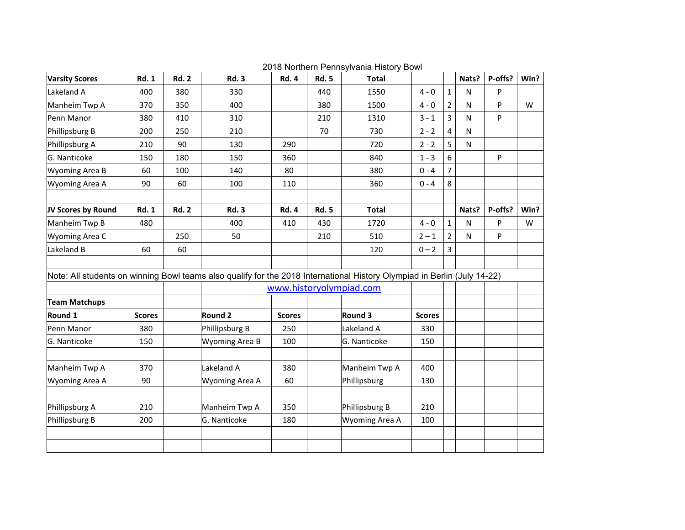| <b>Varsity Scores</b>                                                                                                    | <b>Rd. 1</b>  | <b>Rd. 2</b> | <b>Rd. 3</b>            | <b>Rd. 4</b>  | <b>Rd. 5</b> | <b>Total</b>   |               |                | Nats?     | P-offs? | Win? |
|--------------------------------------------------------------------------------------------------------------------------|---------------|--------------|-------------------------|---------------|--------------|----------------|---------------|----------------|-----------|---------|------|
| Lakeland A                                                                                                               | 400           | 380          | 330                     |               | 440          | 1550           | $4 - 0$       | 1              | N         | P       |      |
| Manheim Twp A                                                                                                            | 370           | 350          | 400                     |               | 380          | 1500           | $4 - 0$       | 2              | N         | P       | W    |
| Penn Manor                                                                                                               | 380           | 410          | 310                     |               | 210          | 1310           | $3 - 1$       | 3              | N         | P       |      |
| Phillipsburg B                                                                                                           | 200           | 250          | 210                     |               | 70           | 730            | $2 - 2$       | 4              | N         |         |      |
| Phillipsburg A                                                                                                           | 210           | 90           | 130                     | 290           |              | 720            | $2 - 2$       | 5              | ${\sf N}$ |         |      |
| G. Nanticoke                                                                                                             | 150           | 180          | 150                     | 360           |              | 840            | $1 - 3$       | 6              |           | P       |      |
| Wyoming Area B                                                                                                           | 60            | 100          | 140                     | 80            |              | 380            | $0 - 4$       | 7              |           |         |      |
| Wyoming Area A                                                                                                           | 90            | 60           | 100                     | 110           |              | 360            | $0 - 4$       | 8              |           |         |      |
|                                                                                                                          |               |              |                         |               |              |                |               |                |           |         |      |
| JV Scores by Round                                                                                                       | <b>Rd. 1</b>  | <b>Rd. 2</b> | <b>Rd. 3</b>            | <b>Rd. 4</b>  | <b>Rd. 5</b> | <b>Total</b>   |               |                | Nats?     | P-offs? | Win? |
| Manheim Twp B                                                                                                            | 480           |              | 400                     | 410           | 430          | 1720           | $4 - 0$       | $\mathbf{1}$   | N         | P       | W    |
| Wyoming Area C                                                                                                           |               | 250          | 50                      |               | 210          | 510            | $2 - 1$       | $\overline{2}$ | ${\sf N}$ | P       |      |
| Lakeland B                                                                                                               | 60            | 60           |                         |               |              | 120            | $0 - 2$       | 3              |           |         |      |
|                                                                                                                          |               |              |                         |               |              |                |               |                |           |         |      |
| Note: All students on winning Bowl teams also qualify for the 2018 International History Olympiad in Berlin (July 14-22) |               |              |                         |               |              |                |               |                |           |         |      |
|                                                                                                                          |               |              | www.historyolympiad.com |               |              |                |               |                |           |         |      |
| <b>Team Matchups</b>                                                                                                     |               |              |                         |               |              |                |               |                |           |         |      |
| Round 1                                                                                                                  | <b>Scores</b> |              | Round 2                 | <b>Scores</b> |              | Round 3        | <b>Scores</b> |                |           |         |      |
| Penn Manor                                                                                                               | 380           |              | Phillipsburg B          | 250           |              | Lakeland A     | 330           |                |           |         |      |
| G. Nanticoke                                                                                                             | 150           |              | Wyoming Area B          | 100           |              | G. Nanticoke   | 150           |                |           |         |      |
|                                                                                                                          |               |              |                         |               |              |                |               |                |           |         |      |
| Manheim Twp A                                                                                                            | 370           |              | Lakeland A              | 380           |              | Manheim Twp A  | 400           |                |           |         |      |
| Wyoming Area A                                                                                                           | 90            |              | Wyoming Area A          | 60            |              | Phillipsburg   | 130           |                |           |         |      |
|                                                                                                                          |               |              |                         |               |              |                |               |                |           |         |      |
| Phillipsburg A                                                                                                           | 210           |              | Manheim Twp A           | 350           |              | Phillipsburg B | 210           |                |           |         |      |
| Phillipsburg B                                                                                                           | 200           |              | G. Nanticoke            | 180           |              | Wyoming Area A | 100           |                |           |         |      |
|                                                                                                                          |               |              |                         |               |              |                |               |                |           |         |      |
|                                                                                                                          |               |              |                         |               |              |                |               |                |           |         |      |

2018 Northern Pennsylvania History Bowl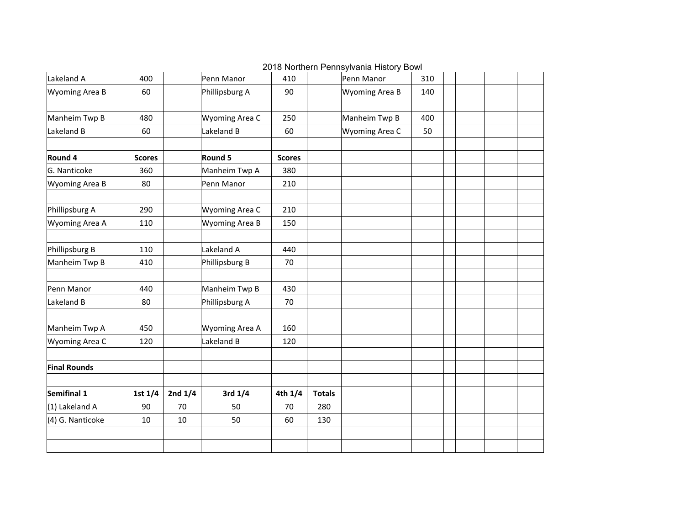| Lakeland A          | 400           |           | Penn Manor     | 410           |               | Penn Manor     | 310 |  |  |
|---------------------|---------------|-----------|----------------|---------------|---------------|----------------|-----|--|--|
| Wyoming Area B      | 60            |           | Phillipsburg A | 90            |               | Wyoming Area B | 140 |  |  |
| Manheim Twp B       | 480           |           | Wyoming Area C | 250           |               | Manheim Twp B  | 400 |  |  |
| Lakeland B          |               |           |                |               |               |                |     |  |  |
|                     | 60            |           | Lakeland B     | 60            |               | Wyoming Area C | 50  |  |  |
| Round 4             | <b>Scores</b> |           | Round 5        | <b>Scores</b> |               |                |     |  |  |
| G. Nanticoke        | 360           |           | Manheim Twp A  | 380           |               |                |     |  |  |
| Wyoming Area B      | 80            |           | Penn Manor     | 210           |               |                |     |  |  |
| Phillipsburg A      | 290           |           | Wyoming Area C | 210           |               |                |     |  |  |
| Wyoming Area A      | 110           |           | Wyoming Area B | 150           |               |                |     |  |  |
| Phillipsburg B      | 110           |           | Lakeland A     | 440           |               |                |     |  |  |
|                     |               |           |                |               |               |                |     |  |  |
| Manheim Twp B       | 410           |           | Phillipsburg B | 70            |               |                |     |  |  |
| Penn Manor          | 440           |           | Manheim Twp B  | 430           |               |                |     |  |  |
| Lakeland B          | 80            |           | Phillipsburg A | 70            |               |                |     |  |  |
| Manheim Twp A       | 450           |           | Wyoming Area A | 160           |               |                |     |  |  |
| Wyoming Area C      | 120           |           | Lakeland B     | 120           |               |                |     |  |  |
| <b>Final Rounds</b> |               |           |                |               |               |                |     |  |  |
|                     |               |           |                |               |               |                |     |  |  |
| Semifinal 1         | 1st $1/4$     | 2nd $1/4$ | 3rd 1/4        | 4th 1/4       | <b>Totals</b> |                |     |  |  |
| $(1)$ Lakeland A    | 90            | 70        | 50             | 70            | 280           |                |     |  |  |
| (4) G. Nanticoke    | 10            | 10        | 50             | 60            | 130           |                |     |  |  |
|                     |               |           |                |               |               |                |     |  |  |
|                     |               |           |                |               |               |                |     |  |  |

2018 Northern Pennsylvania History Bowl